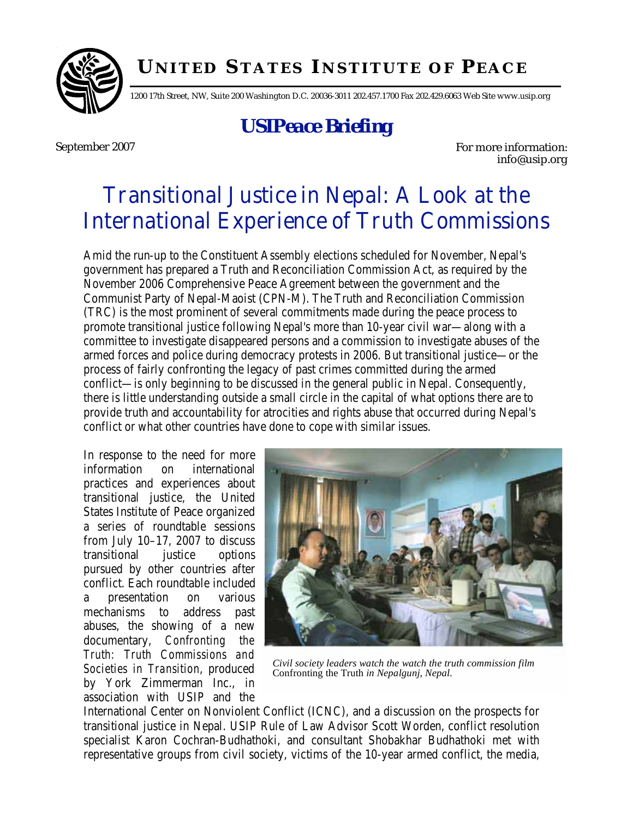

## **U NITED S TATES I NSTITUTE OF P EACE**

1200 17th Street, NW, Suite 200 Washington D.C. 20036-3011 202.457.1700 Fax 202.429.6063 Web Site www.usip.org

# *USIPeace Briefing*

September 2007 **For more information:** info@usip.org

# Transitional Justice in Nepal: A Look at the International Experience of Truth Commissions

Amid the run-up to the Constituent Assembly elections scheduled for November, Nepal's government has prepared a Truth and Reconciliation Commission Act, as required by the November 2006 Comprehensive Peace Agreement between the government and the Communist Party of Nepal-Maoist (CPN-M). The Truth and Reconciliation Commission (TRC) is the most prominent of several commitments made during the peace process to promote transitional justice following Nepal's more than 10-year civil war—along with a committee to investigate disappeared persons and a commission to investigate abuses of the armed forces and police during democracy protests in 2006. But transitional justice—or the process of fairly confronting the legacy of past crimes committed during the armed conflict—is only beginning to be discussed in the general public in Nepal. Consequently, there is little understanding outside a small circle in the capital of what options there are to provide truth and accountability for atrocities and rights abuse that occurred during Nepal's conflict or what other countries have done to cope with similar issues.

In response to the need for more information on international practices and experiences about transitional justice, the United States Institute of Peace organized a series of roundtable sessions from July 10–17, 2007 to discuss transitional justice options pursued by other countries after conflict. Each roundtable included a presentation on various mechanisms to address past abuses, the showing of a new documentary, *Confronting the Truth: Truth Commissions and Societies in Transition*, produced by York Zimmerman Inc., in association with USIP and the



*Civil society leaders watch the watch the truth commission film*  Confronting the Truth *in Nepalgunj, Nepal.* 

International Center on Nonviolent Conflict (ICNC), and a discussion on the prospects for transitional justice in Nepal. USIP Rule of Law Advisor Scott Worden, conflict resolution specialist Karon Cochran-Budhathoki, and consultant Shobakhar Budhathoki met with representative groups from civil society, victims of the 10-year armed conflict, the media,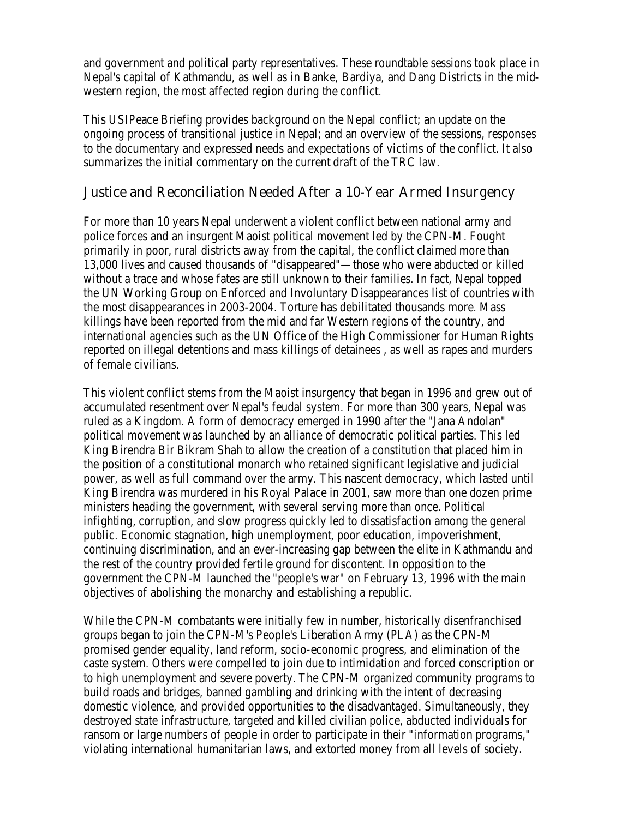and government and political party representatives. These roundtable sessions took place in Nepal's capital of Kathmandu, as well as in Banke, Bardiya, and Dang Districts in the midwestern region, the most affected region during the conflict.

This USIPeace Briefing provides background on the Nepal conflict; an update on the ongoing process of transitional justice in Nepal; and an overview of the sessions, responses to the documentary and expressed needs and expectations of victims of the conflict. It also summarizes the initial commentary on the current draft of the TRC law.

#### Justice and Reconciliation Needed After a 10-Year Armed Insurgency

For more than 10 years Nepal underwent a violent conflict between national army and police forces and an insurgent Maoist political movement led by the CPN-M. Fought primarily in poor, rural districts away from the capital, the conflict claimed more than 13,000 lives and caused thousands of "disappeared"—those who were abducted or killed without a trace and whose fates are still unknown to their families. In fact, Nepal topped the UN Working Group on Enforced and Involuntary Disappearances list of countries with the most disappearances in 2003-2004. Torture has debilitated thousands more. Mass killings have been reported from the mid and far Western regions of the country, and international agencies such as the UN Office of the High Commissioner for Human Rights reported on illegal detentions and mass killings of detainees , as well as rapes and murders of female civilians.

This violent conflict stems from the Maoist insurgency that began in 1996 and grew out of accumulated resentment over Nepal's feudal system. For more than 300 years, Nepal was ruled as a Kingdom. A form of democracy emerged in 1990 after the "Jana Andolan" political movement was launched by an alliance of democratic political parties. This led King Birendra Bir Bikram Shah to allow the creation of a constitution that placed him in the position of a constitutional monarch who retained significant legislative and judicial power, as well as full command over the army. This nascent democracy, which lasted until King Birendra was murdered in his Royal Palace in 2001, saw more than one dozen prime ministers heading the government, with several serving more than once. Political infighting, corruption, and slow progress quickly led to dissatisfaction among the general public. Economic stagnation, high unemployment, poor education, impoverishment, continuing discrimination, and an ever-increasing gap between the elite in Kathmandu and the rest of the country provided fertile ground for discontent. In opposition to the government the CPN-M launched the "people's war" on February 13, 1996 with the main objectives of abolishing the monarchy and establishing a republic.

While the CPN-M combatants were initially few in number, historically disenfranchised groups began to join the CPN-M's People's Liberation Army (PLA) as the CPN-M promised gender equality, land reform, socio-economic progress, and elimination of the caste system. Others were compelled to join due to intimidation and forced conscription or to high unemployment and severe poverty. The CPN-M organized community programs to build roads and bridges, banned gambling and drinking with the intent of decreasing domestic violence, and provided opportunities to the disadvantaged. Simultaneously, they destroyed state infrastructure, targeted and killed civilian police, abducted individuals for ransom or large numbers of people in order to participate in their "information programs," violating international humanitarian laws, and extorted money from all levels of society.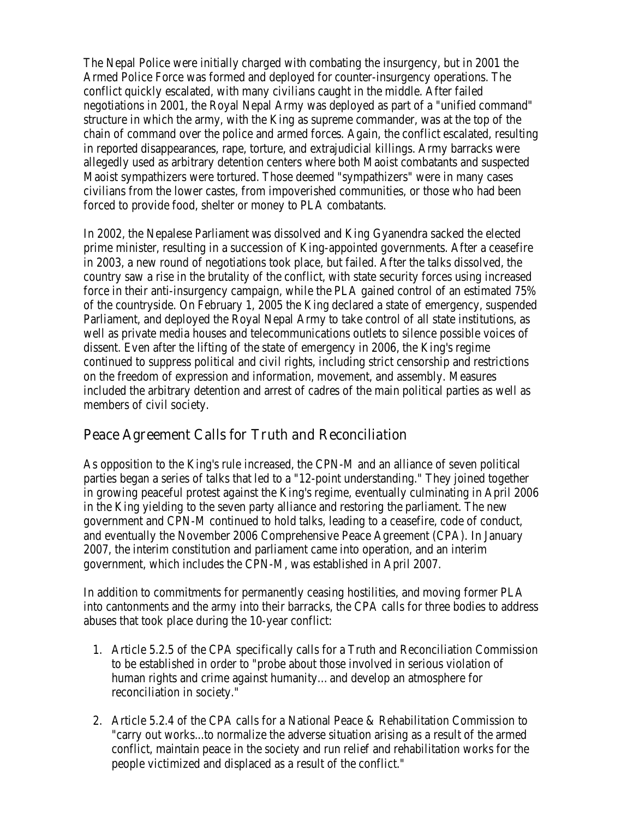The Nepal Police were initially charged with combating the insurgency, but in 2001 the Armed Police Force was formed and deployed for counter-insurgency operations. The conflict quickly escalated, with many civilians caught in the middle. After failed negotiations in 2001, the Royal Nepal Army was deployed as part of a "unified command" structure in which the army, with the King as supreme commander, was at the top of the chain of command over the police and armed forces. Again, the conflict escalated, resulting in reported disappearances, rape, torture, and extrajudicial killings. Army barracks were allegedly used as arbitrary detention centers where both Maoist combatants and suspected Maoist sympathizers were tortured. Those deemed "sympathizers" were in many cases civilians from the lower castes, from impoverished communities, or those who had been forced to provide food, shelter or money to PLA combatants.

In 2002, the Nepalese Parliament was dissolved and King Gyanendra sacked the elected prime minister, resulting in a succession of King-appointed governments. After a ceasefire in 2003, a new round of negotiations took place, but failed. After the talks dissolved, the country saw a rise in the brutality of the conflict, with state security forces using increased force in their anti-insurgency campaign, while the PLA gained control of an estimated 75% of the countryside. On February 1, 2005 the King declared a state of emergency, suspended Parliament, and deployed the Royal Nepal Army to take control of all state institutions, as well as private media houses and telecommunications outlets to silence possible voices of dissent. Even after the lifting of the state of emergency in 2006, the King's regime continued to suppress political and civil rights, including strict censorship and restrictions on the freedom of expression and information, movement, and assembly. Measures included the arbitrary detention and arrest of cadres of the main political parties as well as members of civil society.

#### Peace Agreement Calls for Truth and Reconciliation

As opposition to the King's rule increased, the CPN-M and an alliance of seven political parties began a series of talks that led to a "12-point understanding." They joined together in growing peaceful protest against the King's regime, eventually culminating in April 2006 in the King yielding to the seven party alliance and restoring the parliament. The new government and CPN-M continued to hold talks, leading to a ceasefire, code of conduct, and eventually the November 2006 Comprehensive Peace Agreement (CPA). In January 2007, the interim constitution and parliament came into operation, and an interim government, which includes the CPN-M, was established in April 2007.

In addition to commitments for permanently ceasing hostilities, and moving former PLA into cantonments and the army into their barracks, the CPA calls for three bodies to address abuses that took place during the 10-year conflict:

- 1. Article 5.2.5 of the CPA specifically calls for a Truth and Reconciliation Commission to be established in order to "probe about those involved in serious violation of human rights and crime against humanity…and develop an atmosphere for reconciliation in society."
- 2. Article 5.2.4 of the CPA calls for a National Peace & Rehabilitation Commission to "carry out works...to normalize the adverse situation arising as a result of the armed conflict, maintain peace in the society and run relief and rehabilitation works for the people victimized and displaced as a result of the conflict."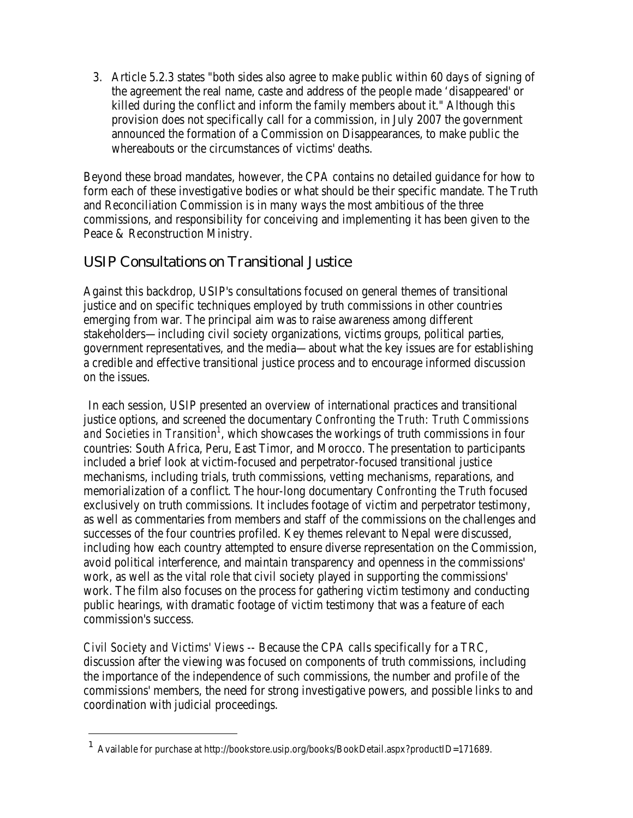3. Article 5.2.3 states "both sides also agree to make public within 60 days of signing of the agreement the real name, caste and address of the people made 'disappeared' or killed during the conflict and inform the family members about it." Although this provision does not specifically call for a commission, in July 2007 the government announced the formation of a Commission on Disappearances, to make public the whereabouts or the circumstances of victims' deaths.

Beyond these broad mandates, however, the CPA contains no detailed guidance for how to form each of these investigative bodies or what should be their specific mandate. The Truth and Reconciliation Commission is in many ways the most ambitious of the three commissions, and responsibility for conceiving and implementing it has been given to the Peace & Reconstruction Ministry.

## USIP Consultations on Transitional Justice

Against this backdrop, USIP's consultations focused on general themes of transitional justice and on specific techniques employed by truth commissions in other countries emerging from war. The principal aim was to raise awareness among different stakeholders—including civil society organizations, victims groups, political parties, government representatives, and the media—about what the key issues are for establishing a credible and effective transitional justice process and to encourage informed discussion on the issues.

In each session, USIP presented an overview of international practices and transitional justice options, and screened the documentary *Confronting the Truth: Truth Commissions*  and Societies in Transition<sup>1</sup>, which showcases the workings of truth commissions in four countries: South Africa, Peru, East Timor, and Morocco. The presentation to participants included a brief look at victim-focused and perpetrator-focused transitional justice mechanisms, including trials, truth commissions, vetting mechanisms, reparations, and memorialization of a conflict. The hour-long documentary *Confronting the Truth* focused exclusively on truth commissions. It includes footage of victim and perpetrator testimony, as well as commentaries from members and staff of the commissions on the challenges and successes of the four countries profiled. Key themes relevant to Nepal were discussed, including how each country attempted to ensure diverse representation on the Commission, avoid political interference, and maintain transparency and openness in the commissions' work, as well as the vital role that civil society played in supporting the commissions' work. The film also focuses on the process for gathering victim testimony and conducting public hearings, with dramatic footage of victim testimony that was a feature of each commission's success.

*Civil Society and Victims' Views* -- Because the CPA calls specifically for a TRC, discussion after the viewing was focused on components of truth commissions, including the importance of the independence of such commissions, the number and profile of the commissions' members, the need for strong investigative powers, and possible links to and coordination with judicial proceedings.

-

<sup>1</sup> Available for purchase at http://bookstore.usip.org/books/BookDetail.aspx?productID=171689.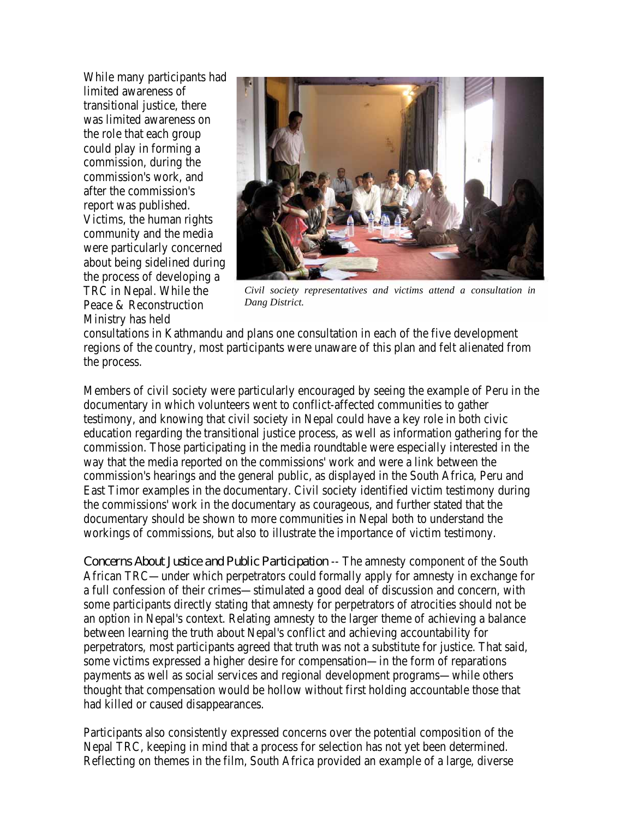While many participants had limited awareness of transitional justice, there was limited awareness on the role that each group could play in forming a commission, during the commission's work, and after the commission's report was published. Victims, the human rights community and the media were particularly concerned about being sidelined during the process of developing a TRC in Nepal. While the Peace & Reconstruction Ministry has held



*Civil society representatives and victims attend a consultation in Dang District.* 

consultations in Kathmandu and plans one consultation in each of the five development regions of the country, most participants were unaware of this plan and felt alienated from the process.

Members of civil society were particularly encouraged by seeing the example of Peru in the documentary in which volunteers went to conflict-affected communities to gather testimony, and knowing that civil society in Nepal could have a key role in both civic education regarding the transitional justice process, as well as information gathering for the commission. Those participating in the media roundtable were especially interested in the way that the media reported on the commissions' work and were a link between the commission's hearings and the general public, as displayed in the South Africa, Peru and East Timor examples in the documentary. Civil society identified victim testimony during the commissions' work in the documentary as courageous, and further stated that the documentary should be shown to more communities in Nepal both to understand the workings of commissions, but also to illustrate the importance of victim testimony.

*Concerns About Justice and Public Participation* -- The amnesty component of the South African TRC—under which perpetrators could formally apply for amnesty in exchange for a full confession of their crimes—stimulated a good deal of discussion and concern, with some participants directly stating that amnesty for perpetrators of atrocities should not be an option in Nepal's context. Relating amnesty to the larger theme of achieving a balance between learning the truth about Nepal's conflict and achieving accountability for perpetrators, most participants agreed that truth was not a substitute for justice. That said, some victims expressed a higher desire for compensation—in the form of reparations payments as well as social services and regional development programs—while others thought that compensation would be hollow without first holding accountable those that had killed or caused disappearances.

Participants also consistently expressed concerns over the potential composition of the Nepal TRC, keeping in mind that a process for selection has not yet been determined. Reflecting on themes in the film, South Africa provided an example of a large, diverse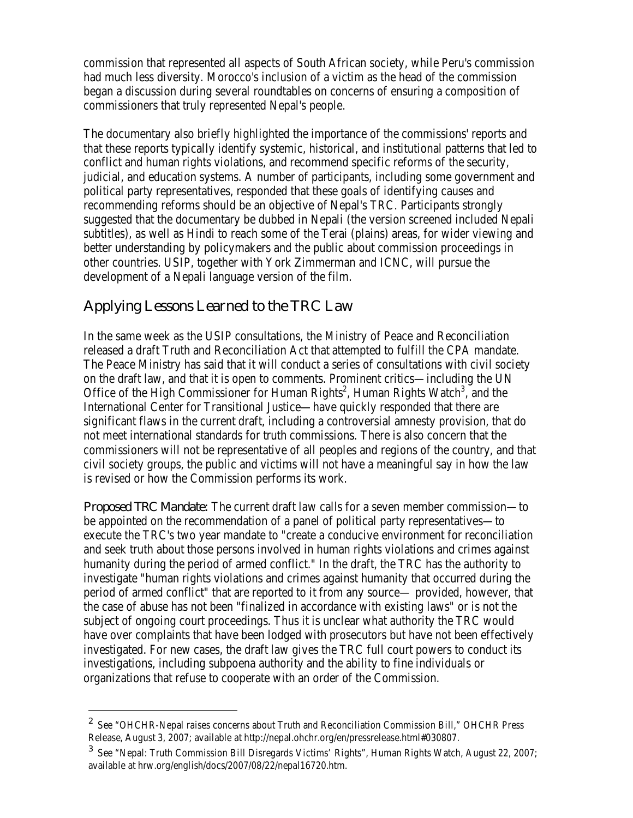commission that represented all aspects of South African society, while Peru's commission had much less diversity. Morocco's inclusion of a victim as the head of the commission began a discussion during several roundtables on concerns of ensuring a composition of commissioners that truly represented Nepal's people.

The documentary also briefly highlighted the importance of the commissions' reports and that these reports typically identify systemic, historical, and institutional patterns that led to conflict and human rights violations, and recommend specific reforms of the security, judicial, and education systems. A number of participants, including some government and political party representatives, responded that these goals of identifying causes and recommending reforms should be an objective of Nepal's TRC. Participants strongly suggested that the documentary be dubbed in Nepali (the version screened included Nepali subtitles), as well as Hindi to reach some of the Terai (plains) areas, for wider viewing and better understanding by policymakers and the public about commission proceedings in other countries. USIP, together with York Zimmerman and ICNC, will pursue the development of a Nepali language version of the film.

#### Applying Lessons Learned to the TRC Law

<u>.</u>

In the same week as the USIP consultations, the Ministry of Peace and Reconciliation released a draft Truth and Reconciliation Act that attempted to fulfill the CPA mandate. The Peace Ministry has said that it will conduct a series of consultations with civil society on the draft law, and that it is open to comments. Prominent critics—including the UN Office of the High Commissioner for Human Rights<sup>2</sup>, Human Rights Watch<sup>3</sup>, and the International Center for Transitional Justice—have quickly responded that there are significant flaws in the current draft, including a controversial amnesty provision, that do not meet international standards for truth commissions. There is also concern that the commissioners will not be representative of all peoples and regions of the country, and that civil society groups, the public and victims will not have a meaningful say in how the law is revised or how the Commission performs its work.

*Proposed TRC Mandate:* The current draft law calls for a seven member commission—to be appointed on the recommendation of a panel of political party representatives—to execute the TRC's two year mandate to "create a conducive environment for reconciliation and seek truth about those persons involved in human rights violations and crimes against humanity during the period of armed conflict." In the draft, the TRC has the authority to investigate "human rights violations and crimes against humanity that occurred during the period of armed conflict" that are reported to it from any source— provided, however, that the case of abuse has not been "finalized in accordance with existing laws" or is not the subject of ongoing court proceedings. Thus it is unclear what authority the TRC would have over complaints that have been lodged with prosecutors but have not been effectively investigated. For new cases, the draft law gives the TRC full court powers to conduct its investigations, including subpoena authority and the ability to fine individuals or organizations that refuse to cooperate with an order of the Commission.

<sup>&</sup>lt;sup>2</sup> See "OHCHR-Nepal raises concerns about Truth and Reconciliation Commission Bill," OHCHR Press Release, August 3, 2007; available at http://nepal.ohchr.org/en/pressrelease.html#030807.

 $3$  See "Nepal: Truth Commission Bill Disregards Victims' Rights", Human Rights Watch, August 22, 2007; available at hrw.org/english/docs/2007/08/22/nepal16720.htm.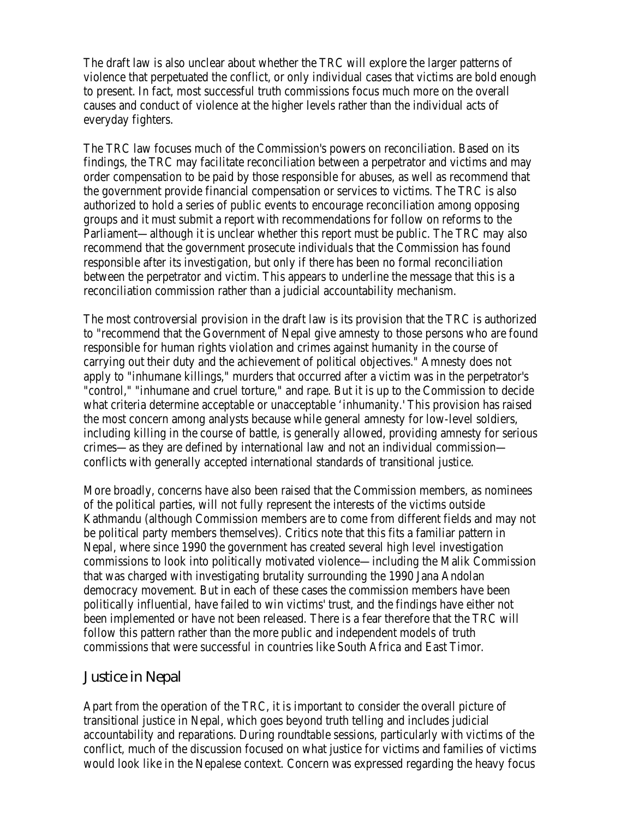The draft law is also unclear about whether the TRC will explore the larger patterns of violence that perpetuated the conflict, or only individual cases that victims are bold enough to present. In fact, most successful truth commissions focus much more on the overall causes and conduct of violence at the higher levels rather than the individual acts of everyday fighters.

The TRC law focuses much of the Commission's powers on reconciliation. Based on its findings, the TRC may facilitate reconciliation between a perpetrator and victims and may order compensation to be paid by those responsible for abuses, as well as recommend that the government provide financial compensation or services to victims. The TRC is also authorized to hold a series of public events to encourage reconciliation among opposing groups and it must submit a report with recommendations for follow on reforms to the Parliament—although it is unclear whether this report must be public. The TRC may also recommend that the government prosecute individuals that the Commission has found responsible after its investigation, but only if there has been no formal reconciliation between the perpetrator and victim. This appears to underline the message that this is a reconciliation commission rather than a judicial accountability mechanism.

The most controversial provision in the draft law is its provision that the TRC is authorized to "recommend that the Government of Nepal give amnesty to those persons who are found responsible for human rights violation and crimes against humanity in the course of carrying out their duty and the achievement of political objectives." Amnesty does not apply to "inhumane killings," murders that occurred after a victim was in the perpetrator's "control," "inhumane and cruel torture," and rape. But it is up to the Commission to decide what criteria determine acceptable or unacceptable 'inhumanity.' This provision has raised the most concern among analysts because while general amnesty for low-level soldiers, including killing in the course of battle, is generally allowed, providing amnesty for serious crimes—as they are defined by international law and not an individual commission conflicts with generally accepted international standards of transitional justice.

More broadly, concerns have also been raised that the Commission members, as nominees of the political parties, will not fully represent the interests of the victims outside Kathmandu (although Commission members are to come from different fields and may not be political party members themselves). Critics note that this fits a familiar pattern in Nepal, where since 1990 the government has created several high level investigation commissions to look into politically motivated violence—including the Malik Commission that was charged with investigating brutality surrounding the 1990 Jana Andolan democracy movement. But in each of these cases the commission members have been politically influential, have failed to win victims' trust, and the findings have either not been implemented or have not been released. There is a fear therefore that the TRC will follow this pattern rather than the more public and independent models of truth commissions that were successful in countries like South Africa and East Timor.

#### Justice in Nepal

Apart from the operation of the TRC, it is important to consider the overall picture of transitional justice in Nepal, which goes beyond truth telling and includes judicial accountability and reparations. During roundtable sessions, particularly with victims of the conflict, much of the discussion focused on what justice for victims and families of victims would look like in the Nepalese context. Concern was expressed regarding the heavy focus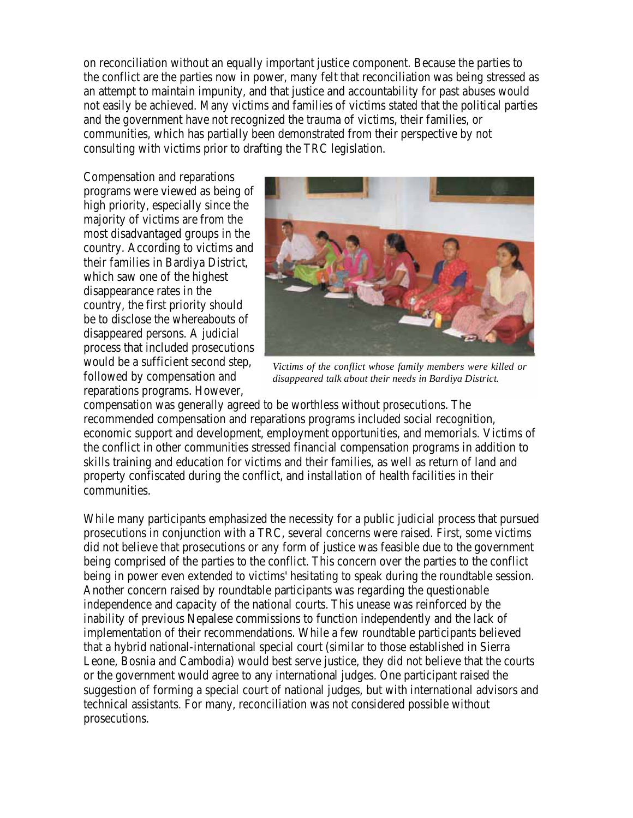on reconciliation without an equally important justice component. Because the parties to the conflict are the parties now in power, many felt that reconciliation was being stressed as an attempt to maintain impunity, and that justice and accountability for past abuses would not easily be achieved. Many victims and families of victims stated that the political parties and the government have not recognized the trauma of victims, their families, or communities, which has partially been demonstrated from their perspective by not consulting with victims prior to drafting the TRC legislation.

Compensation and reparations programs were viewed as being of high priority, especially since the majority of victims are from the most disadvantaged groups in the country. According to victims and their families in Bardiya District, which saw one of the highest disappearance rates in the country, the first priority should be to disclose the whereabouts of disappeared persons. A judicial process that included prosecutions would be a sufficient second step, followed by compensation and reparations programs. However,



*Victims of the conflict whose family members were killed or disappeared talk about their needs in Bardiya District.* 

compensation was generally agreed to be worthless without prosecutions. The recommended compensation and reparations programs included social recognition, economic support and development, employment opportunities, and memorials. Victims of the conflict in other communities stressed financial compensation programs in addition to skills training and education for victims and their families, as well as return of land and property confiscated during the conflict, and installation of health facilities in their communities.

While many participants emphasized the necessity for a public judicial process that pursued prosecutions in conjunction with a TRC, several concerns were raised. First, some victims did not believe that prosecutions or any form of justice was feasible due to the government being comprised of the parties to the conflict. This concern over the parties to the conflict being in power even extended to victims' hesitating to speak during the roundtable session. Another concern raised by roundtable participants was regarding the questionable independence and capacity of the national courts. This unease was reinforced by the inability of previous Nepalese commissions to function independently and the lack of implementation of their recommendations. While a few roundtable participants believed that a hybrid national-international special court (similar to those established in Sierra Leone, Bosnia and Cambodia) would best serve justice, they did not believe that the courts or the government would agree to any international judges. One participant raised the suggestion of forming a special court of national judges, but with international advisors and technical assistants. For many, reconciliation was not considered possible without prosecutions.